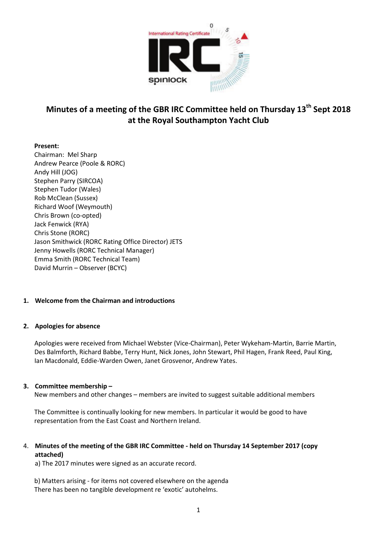

# **Minutes of a meeting of the GBR IRC Committee held on Thursday 13th Sept 2018 at the Royal Southampton Yacht Club**

## **Present:**

Chairman: Mel Sharp Andrew Pearce (Poole & RORC) Andy Hill (JOG) Stephen Parry (SIRCOA) Stephen Tudor (Wales) Rob McClean (Sussex) Richard Woof (Weymouth) Chris Brown (co-opted) Jack Fenwick (RYA) Chris Stone (RORC) Jason Smithwick (RORC Rating Office Director) JETS Jenny Howells (RORC Technical Manager) Emma Smith (RORC Technical Team) David Murrin – Observer (BCYC)

## **1. Welcome from the Chairman and introductions**

### **2. Apologies for absence**

Apologies were received from Michael Webster (Vice-Chairman), Peter Wykeham-Martin, Barrie Martin, Des Balmforth, Richard Babbe, Terry Hunt, Nick Jones, John Stewart, Phil Hagen, Frank Reed, Paul King, Ian Macdonald, Eddie-Warden Owen, Janet Grosvenor, Andrew Yates.

### **3. Committee membership –**

New members and other changes – members are invited to suggest suitable additional members

The Committee is continually looking for new members. In particular it would be good to have representation from the East Coast and Northern Ireland.

# 4. **Minutes of the meeting of the GBR IRC Committee - held on Thursday 14 September 2017 (copy attached)**

a) The 2017 minutes were signed as an accurate record.

b) Matters arising - for items not covered elsewhere on the agenda There has been no tangible development re 'exotic' autohelms.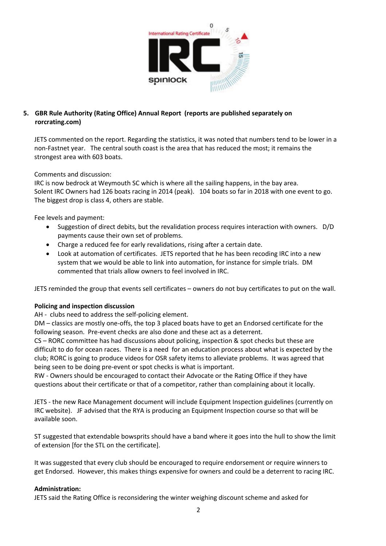

# **5. GBR Rule Authority (Rating Office) Annual Report (reports are published separately on rorcrating.com)**

JETS commented on the report. Regarding the statistics, it was noted that numbers tend to be lower in a non-Fastnet year. The central south coast is the area that has reduced the most; it remains the strongest area with 603 boats.

Comments and discussion:

IRC is now bedrock at Weymouth SC which is where all the sailing happens, in the bay area. Solent IRC Owners had 126 boats racing in 2014 (peak). 104 boats so far in 2018 with one event to go. The biggest drop is class 4, others are stable.

Fee levels and payment:

- Suggestion of direct debits, but the revalidation process requires interaction with owners. D/D payments cause their own set of problems.
- Charge a reduced fee for early revalidations, rising after a certain date.
- Look at automation of certificates. JETS reported that he has been recoding IRC into a new system that we would be able to link into automation, for instance for simple trials. DM commented that trials allow owners to feel involved in IRC.

JETS reminded the group that events sell certificates – owners do not buy certificates to put on the wall.

### **Policing and inspection discussion**

AH - clubs need to address the self-policing element.

DM – classics are mostly one-offs, the top 3 placed boats have to get an Endorsed certificate for the following season. Pre-event checks are also done and these act as a deterrent.

CS – RORC committee has had discussions about policing, inspection & spot checks but these are difficult to do for ocean races. There is a need for an education process about what is expected by the club; RORC is going to produce videos for OSR safety items to alleviate problems. It was agreed that being seen to be doing pre-event or spot checks is what is important.

RW - Owners should be encouraged to contact their Advocate or the Rating Office if they have questions about their certificate or that of a competitor, rather than complaining about it locally.

JETS - the new Race Management document will include Equipment Inspection guidelines (currently on IRC website). JF advised that the RYA is producing an Equipment Inspection course so that will be available soon.

ST suggested that extendable bowsprits should have a band where it goes into the hull to show the limit of extension [for the STL on the certificate].

It was suggested that every club should be encouraged to require endorsement or require winners to get Endorsed. However, this makes things expensive for owners and could be a deterrent to racing IRC.

### **Administration:**

JETS said the Rating Office is reconsidering the winter weighing discount scheme and asked for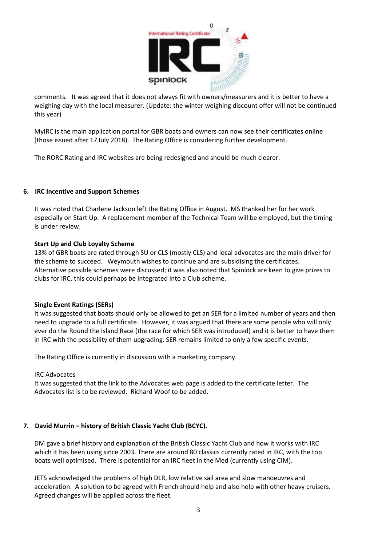

comments. It was agreed that it does not always fit with owners/measurers and it is better to have a weighing day with the local measurer. (Update: the winter weighing discount offer will not be continued this year)

MyIRC is the main application portal for GBR boats and owners can now see their certificates online [those issued after 17 July 2018). The Rating Office is considering further development.

The RORC Rating and IRC websites are being redesigned and should be much clearer.

### **6. IRC Incentive and Support Schemes**

It was noted that Charlene Jackson left the Rating Office in August. MS thanked her for her work especially on Start Up. A replacement member of the Technical Team will be employed, but the timing is under review.

### **Start Up and Club Loyalty Scheme**

13% of GBR boats are rated through SU or CLS (mostly CLS) and local advocates are the main driver for the scheme to succeed. Weymouth wishes to continue and are subsidising the certificates. Alternative possible schemes were discussed; it was also noted that Spinlock are keen to give prizes to clubs for IRC, this could perhaps be integrated into a Club scheme.

### **Single Event Ratings (SERs)**

It was suggested that boats should only be allowed to get an SER for a limited number of years and then need to upgrade to a full certificate. However, it was argued that there are some people who will only ever do the Round the Island Race (the race for which SER was introduced) and it is better to have them in IRC with the possibility of them upgrading. SER remains limited to only a few specific events.

The Rating Office is currently in discussion with a marketing company.

### IRC Advocates

It was suggested that the link to the Advocates web page is added to the certificate letter. The Advocates list is to be reviewed. Richard Woof to be added.

## **7. David Murrin – history of British Classic Yacht Club (BCYC).**

DM gave a brief history and explanation of the British Classic Yacht Club and how it works with IRC which it has been using since 2003. There are around 80 classics currently rated in IRC, with the top boats well optimised. There is potential for an IRC fleet in the Med (currently using CIM).

JETS acknowledged the problems of high DLR, low relative sail area and slow manoeuvres and acceleration. A solution to be agreed with French should help and also help with other heavy cruisers. Agreed changes will be applied across the fleet.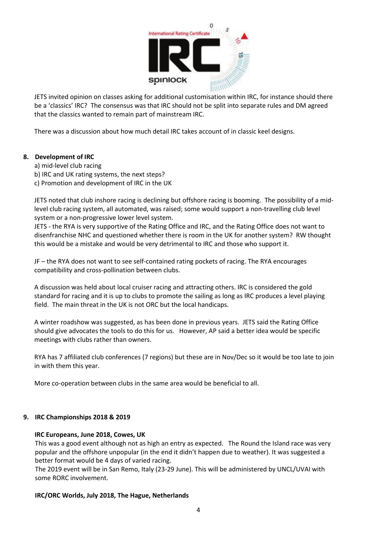

JETS invited opinion on classes asking for additional customisation within IRC, for instance should there be a 'classics' IRC? The consensus was that IRC should not be split into separate rules and DM agreed that the classics wanted to remain part of mainstream IRC.

There was a discussion about how much detail IRC takes account of in classic keel designs.

## **8. Development of IRC**

- a) mid-level club racing
- b) IRC and UK rating systems, the next steps?
- c) Promotion and development of IRC in the UK

JETS noted that club inshore racing is declining but offshore racing is booming. The possibility of a midlevel club racing system, all automated, was raised; some would support a non-travelling club level system or a non-progressive lower level system.

JETS - the RYA is very supportive of the Rating Office and IRC, and the Rating Office does not want to disenfranchise NHC and questioned whether there is room in the UK for another system? RW thought this would be a mistake and would be very detrimental to IRC and those who support it.

JF – the RYA does not want to see self-contained rating pockets of racing. The RYA encourages compatibility and cross-pollination between clubs.

A discussion was held about local cruiser racing and attracting others. IRC is considered the gold standard for racing and it is up to clubs to promote the sailing as long as IRC produces a level playing field. The main threat in the UK is not ORC but the local handicaps.

A winter roadshow was suggested, as has been done in previous years. JETS said the Rating Office should give advocates the tools to do this for us. However, AP said a better idea would be specific meetings with clubs rather than owners.

RYA has 7 affiliated club conferences (7 regions) but these are in Nov/Dec so it would be too late to join in with them this year.

More co-operation between clubs in the same area would be beneficial to all.

### **9. IRC Championships 2018 & 2019**

### **IRC Europeans, June 2018, Cowes, UK**

This was a good event although not as high an entry as expected. The Round the Island race was very popular and the offshore unpopular (in the end it didn't happen due to weather). It was suggested a better format would be 4 days of varied racing.

The 2019 event will be in San Remo, Italy (23-29 June). This will be administered by UNCL/UVAI with some RORC involvement.

### **IRC/ORC Worlds, July 2018, The Hague, Netherlands**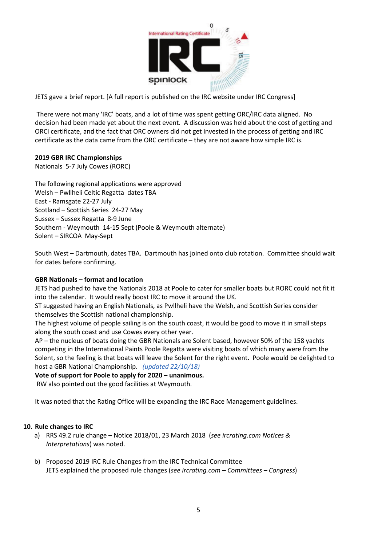

JETS gave a brief report. [A full report is published on the IRC website under IRC Congress]

There were not many 'IRC' boats, and a lot of time was spent getting ORC/IRC data aligned. No decision had been made yet about the next event. A discussion was held about the cost of getting and ORCi certificate, and the fact that ORC owners did not get invested in the process of getting and IRC certificate as the data came from the ORC certificate – they are not aware how simple IRC is.

### **2019 GBR IRC Championships**

Nationals 5-7 July Cowes (RORC)

The following regional applications were approved Welsh – Pwllheli Celtic Regatta dates TBA East - Ramsgate 22-27 July Scotland – Scottish Series 24-27 May Sussex – Sussex Regatta 8-9 June Southern - Weymouth 14-15 Sept (Poole & Weymouth alternate) Solent – SIRCOA May-Sept

South West – Dartmouth, dates TBA. Dartmouth has joined onto club rotation. Committee should wait for dates before confirming.

### **GBR Nationals – format and location**

JETS had pushed to have the Nationals 2018 at Poole to cater for smaller boats but RORC could not fit it into the calendar. It would really boost IRC to move it around the UK.

ST suggested having an English Nationals, as Pwllheli have the Welsh, and Scottish Series consider themselves the Scottish national championship.

The highest volume of people sailing is on the south coast, it would be good to move it in small steps along the south coast and use Cowes every other year.

AP – the nucleus of boats doing the GBR Nationals are Solent based, however 50% of the 158 yachts competing in the International Paints Poole Regatta were visiting boats of which many were from the Solent, so the feeling is that boats will leave the Solent for the right event. Poole would be delighted to host a GBR National Championship. *(updated 22/10/18)*

**Vote of support for Poole to apply for 2020 – unanimous.**

RW also pointed out the good facilities at Weymouth.

It was noted that the Rating Office will be expanding the IRC Race Management guidelines.

### **10. Rule changes to IRC**

- a) RRS 49.2 rule change Notice 2018/01, 23 March 2018 (*see ircrating.com Notices & Interpretations*) was noted.
- b) Proposed 2019 IRC Rule Changes from the IRC Technical Committee JETS explained the proposed rule changes (*see ircrating.com – Committees – Congress*)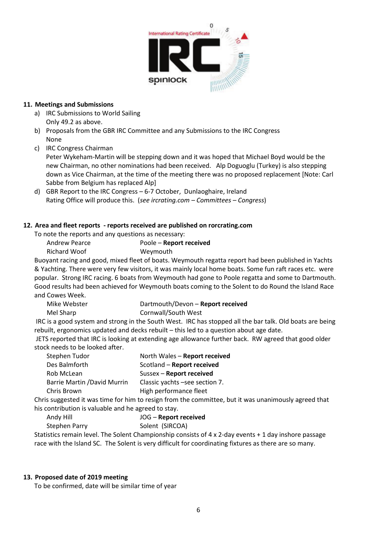

### **11. Meetings and Submissions**

- a) IRC Submissions to World Sailing
	- Only 49.2 as above.
- b) Proposals from the GBR IRC Committee and any Submissions to the IRC Congress None
- c) IRC Congress Chairman

Peter Wykeham-Martin will be stepping down and it was hoped that Michael Boyd would be the new Chairman, no other nominations had been received. Alp Doguoglu (Turkey) is also stepping down as Vice Chairman, at the time of the meeting there was no proposed replacement [Note: Carl Sabbe from Belgium has replaced Alp]

d) GBR Report to the IRC Congress – 6-7 October, Dunlaoghaire, Ireland Rating Office will produce this. (*see ircrating.com – Committees – Congress*)

## **12. Area and fleet reports - reports received are published on rorcrating.com**

To note the reports and any questions as necessary:

| Andrew Pearce       | Poole - Report received |
|---------------------|-------------------------|
| <b>Richard Woof</b> | Weymouth                |

Buoyant racing and good, mixed fleet of boats. Weymouth regatta report had been published in Yachts & Yachting. There were very few visitors, it was mainly local home boats. Some fun raft races etc. were popular. Strong IRC racing. 6 boats from Weymouth had gone to Poole regatta and some to Dartmouth. Good results had been achieved for Weymouth boats coming to the Solent to do Round the Island Race and Cowes Week.

Mike Webster Dartmouth/Devon – **Report received** Mel Sharp Cornwall/South West

IRC is a good system and strong in the South West. IRC has stopped all the bar talk. Old boats are being rebuilt, ergonomics updated and decks rebuilt – this led to a question about age date.

JETS reported that IRC is looking at extending age allowance further back. RW agreed that good older stock needs to be looked after.

| Stephen Tudor                       | North Wales - Report received  |
|-------------------------------------|--------------------------------|
| Des Balmforth                       | Scotland - Report received     |
| Rob McLean                          | Sussex - Report received       |
| <b>Barrie Martin / David Murrin</b> | Classic yachts -see section 7. |
| Chris Brown                         | High performance fleet         |
|                                     |                                |

Chris suggested it was time for him to resign from the committee, but it was unanimously agreed that his contribution is valuable and he agreed to stay.

# Andy Hill JOG – **Report received** Stephen Parry Solent (SIRCOA)

Statistics remain level. The Solent Championship consists of 4 x 2-day events + 1 day inshore passage race with the Island SC. The Solent is very difficult for coordinating fixtures as there are so many.

## **13. Proposed date of 2019 meeting**

To be confirmed, date will be similar time of year